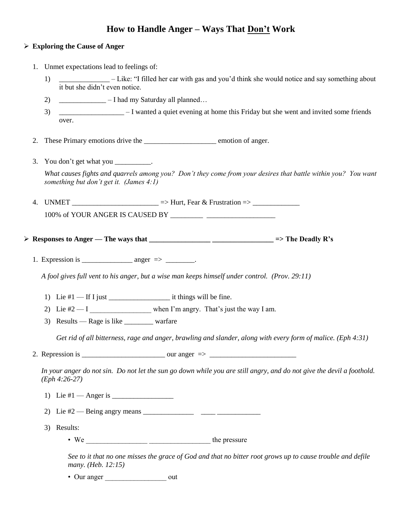## **How to Handle Anger – Ways That Don't Work**

## **Exploring the Cause of Anger**

- 1. Unmet expectations lead to feelings of:
	- 1) \_\_\_\_\_\_\_\_\_\_\_\_\_\_ Like: "I filled her car with gas and you'd think she would notice and say something about it but she didn't even notice.
	- 2)  $\qquad \qquad$   $\qquad$  I had my Saturday all planned…
	- 3) \_\_\_\_\_\_\_\_\_\_\_\_\_\_\_\_\_\_ I wanted a quiet evening at home this Friday but she went and invited some friends over.
- 2. These Primary emotions drive the \_\_\_\_\_\_\_\_\_\_\_\_\_\_\_\_\_\_\_\_\_\_\_\_\_\_\_ emotion of anger.
- 3. You don't get what you \_\_\_\_\_\_\_\_\_. *What causes fights and quarrels among you? Don't they come from your desires that battle within you? You want something but don't get it. (James 4:1)*
- 4. UNMET \_\_\_\_\_\_\_\_\_\_\_\_\_\_\_\_\_\_\_\_\_\_ => Hurt, Fear & Frustration => \_\_\_\_\_\_\_\_\_\_\_\_\_\_\_\_\_\_ 100% of YOUR ANGER IS CAUSED BY \_\_\_\_\_\_\_\_\_ \_\_\_\_\_\_\_\_\_\_\_\_\_\_\_\_\_\_\_
- **Responses to Anger — The ways that \_\_\_\_\_\_\_\_\_\_\_\_\_\_\_\_\_ \_\_\_\_\_\_\_\_\_\_\_\_\_\_\_\_\_ => The Deadly R's**
	- 1. Expression is \_\_\_\_\_\_\_\_\_\_\_\_\_\_ anger => \_\_\_\_\_\_\_\_.

*A fool gives full vent to his anger, but a wise man keeps himself under control. (Prov. 29:11)*

- 1) Lie #1 If I just \_\_\_\_\_\_\_\_\_\_\_\_\_\_\_\_\_ it things will be fine.
- 2) Lie  $#2 I$  when I'm angry. That's just the way I am.
- 3) Results Rage is like \_\_\_\_\_\_\_\_ warfare

*Get rid of all bitterness, rage and anger, brawling and slander, along with every form of malice. (Eph 4:31)*

2. Repression is \_\_\_\_\_\_\_\_\_\_\_\_\_\_\_\_\_\_\_\_\_\_\_ our anger => \_\_\_\_\_\_\_\_\_\_\_\_\_\_\_\_\_\_\_\_\_\_\_\_

*In your anger do not sin. Do not let the sun go down while you are still angry, and do not give the devil a foothold. (Eph 4:26-27)*

- 1) Lie  $#1$  Anger is  $\equiv$
- 2) Lie #2 Being angry means \_\_\_\_\_\_\_\_\_\_\_\_\_\_ \_\_\_\_ \_\_\_\_\_\_\_\_\_\_\_\_
- 3) Results:
	- We  $\frac{1}{\sqrt{2\pi}}$  the pressure

*See to it that no one misses the grace of God and that no bitter root grows up to cause trouble and defile many. (Heb. 12:15)*

• Our anger out